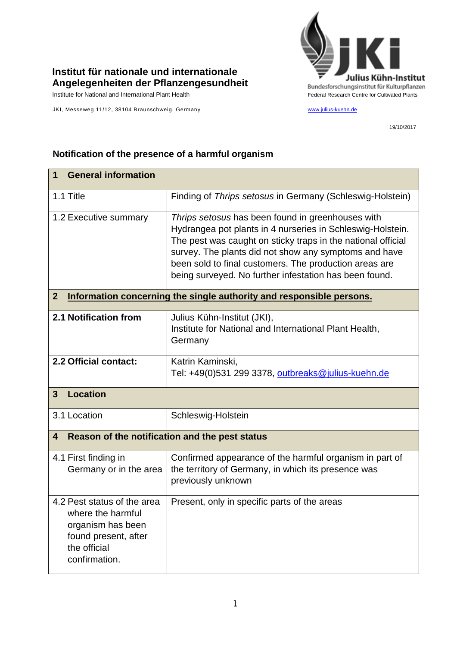## **Institut für nationale und internationale Angelegenheiten der Pflanzengesundheit**

JKI, Messeweg 11/12, 38104 Braunschweig, Germany [www.julius-kuehn.de](http://www.julius-kuehn.de/)



19/10/2017

## **1 General information** 1.1 Title Finding of *Thrips setosus* in Germany (Schleswig-Holstein) 1.2 Executive summary *Thrips setosus* has been found in greenhouses with Hydrangea pot plants in 4 nurseries in Schleswig-Holstein. The pest was caught on sticky traps in the national official survey. The plants did not show any symptoms and have been sold to final customers. The production areas are being surveyed. No further infestation has been found. **2 Information concerning the single authority and responsible persons. 2.1 Notification from** Julius Kühn-Institut (JKI), Institute for National and International Plant Health, **Germany 2.2 Official contact:** Katrin Kaminski, Tel: +49(0)531 299 3378, [outbreaks@julius-kuehn.de](mailto:outbreaks@julius-kuehn.de) **3 Location**  3.1 Location | Schleswig-Holstein **4 Reason of the notification and the pest status** 4.1 First finding in Germany or in the area Confirmed appearance of the harmful organism in part of the territory of Germany, in which its presence was previously unknown 4.2 Pest status of the area where the harmful organism has been found present, after the official confirmation. Present, only in specific parts of the areas

## **Notification of the presence of a harmful organism**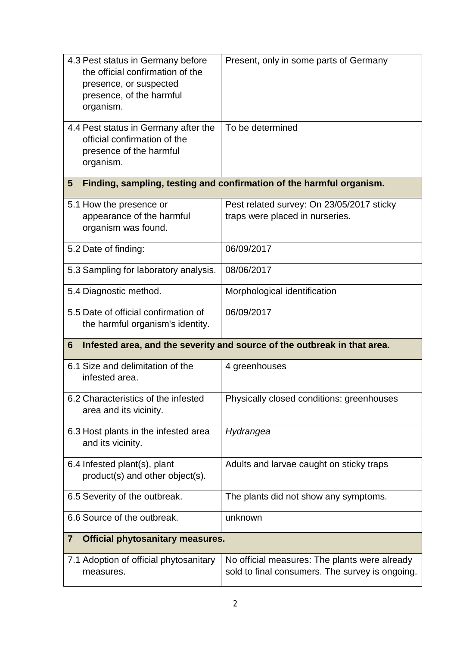| 4.3 Pest status in Germany before<br>the official confirmation of the<br>presence, or suspected<br>presence, of the harmful<br>organism. | Present, only in some parts of Germany                                                           |  |
|------------------------------------------------------------------------------------------------------------------------------------------|--------------------------------------------------------------------------------------------------|--|
| 4.4 Pest status in Germany after the<br>official confirmation of the<br>presence of the harmful<br>organism.                             | To be determined                                                                                 |  |
| Finding, sampling, testing and confirmation of the harmful organism.<br>$5\overline{)}$                                                  |                                                                                                  |  |
| 5.1 How the presence or<br>appearance of the harmful<br>organism was found.                                                              | Pest related survey: On 23/05/2017 sticky<br>traps were placed in nurseries.                     |  |
| 5.2 Date of finding:                                                                                                                     | 06/09/2017                                                                                       |  |
| 5.3 Sampling for laboratory analysis.                                                                                                    | 08/06/2017                                                                                       |  |
| 5.4 Diagnostic method.                                                                                                                   | Morphological identification                                                                     |  |
| 5.5 Date of official confirmation of<br>the harmful organism's identity.                                                                 | 06/09/2017                                                                                       |  |
| Infested area, and the severity and source of the outbreak in that area.<br>6                                                            |                                                                                                  |  |
| 6.1 Size and delimitation of the<br>infested area.                                                                                       | 4 greenhouses                                                                                    |  |
| 6.2 Characteristics of the infested<br>area and its vicinity.                                                                            | Physically closed conditions: greenhouses                                                        |  |
| 6.3 Host plants in the infested area<br>and its vicinity.                                                                                | Hydrangea                                                                                        |  |
| 6.4 Infested plant(s), plant<br>product(s) and other object(s).                                                                          | Adults and larvae caught on sticky traps                                                         |  |
| 6.5 Severity of the outbreak.                                                                                                            | The plants did not show any symptoms.                                                            |  |
| 6.6 Source of the outbreak.                                                                                                              | unknown                                                                                          |  |
| <b>Official phytosanitary measures.</b><br>$\overline{\mathbf{7}}$                                                                       |                                                                                                  |  |
| 7.1 Adoption of official phytosanitary<br>measures.                                                                                      | No official measures: The plants were already<br>sold to final consumers. The survey is ongoing. |  |